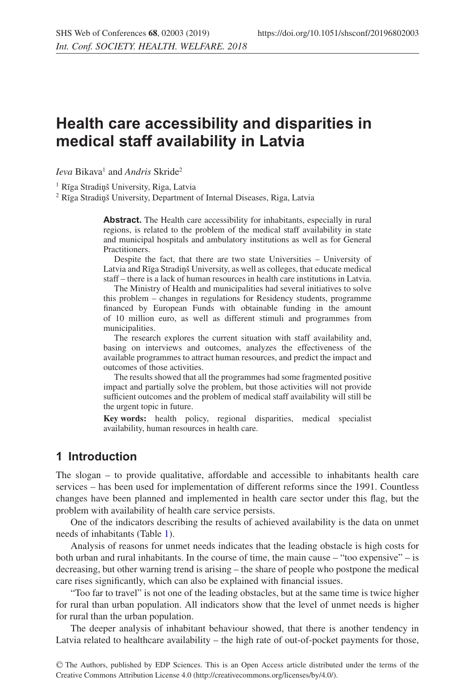# **Health care accessibility and disparities in medical staff availability in Latvia**

*Ieva* Bikava<sup>1</sup> and *Andris* Skride<sup>2</sup>

<sup>1</sup> Rīga Stradinš University, Riga, Latvia

<sup>2</sup> Rīga Stradiņš University, Department of Internal Diseases, Riga, Latvia

**Abstract.** The Health care accessibility for inhabitants, especially in rural regions, is related to the problem of the medical staff availability in state and municipal hospitals and ambulatory institutions as well as for General Practitioners.

Despite the fact, that there are two state Universities – University of Latvia and Rīga Stradiņš University, as well as colleges, that educate medical staff – there is a lack of human resources in health care institutions in Latvia.

The Ministry of Health and municipalities had several initiatives to solve this problem – changes in regulations for Residency students, programme financed by European Funds with obtainable funding in the amount of 10 million euro, as well as different stimuli and programmes from municipalities.

The research explores the current situation with staff availability and, basing on interviews and outcomes, analyzes the effectiveness of the available programmes to attract human resources, and predict the impact and outcomes of those activities.

The results showed that all the programmes had some fragmented positive impact and partially solve the problem, but those activities will not provide sufficient outcomes and the problem of medical staff availability will still be the urgent topic in future.

**Key words:** health policy, regional disparities, medical specialist availability, human resources in health care.

### **1 Introduction**

The slogan – to provide qualitative, affordable and accessible to inhabitants health care services – has been used for implementation of different reforms since the 1991. Countless changes have been planned and implemented in health care sector under this flag, but the problem with availability of health care service persists.

One of the indicators describing the results of achieved availability is the data on unmet needs of inhabitants (Table [1\)](#page-1-0).

Analysis of reasons for unmet needs indicates that the leading obstacle is high costs for both urban and rural inhabitants. In the course of time, the main cause – "too expensive" – is decreasing, but other warning trend is arising – the share of people who postpone the medical care rises significantly, which can also be explained with financial issues.

"Too far to travel" is not one of the leading obstacles, but at the same time is twice higher for rural than urban population. All indicators show that the level of unmet needs is higher for rural than the urban population.

The deeper analysis of inhabitant behaviour showed, that there is another tendency in Latvia related to healthcare availability – the high rate of out-of-pocket payments for those,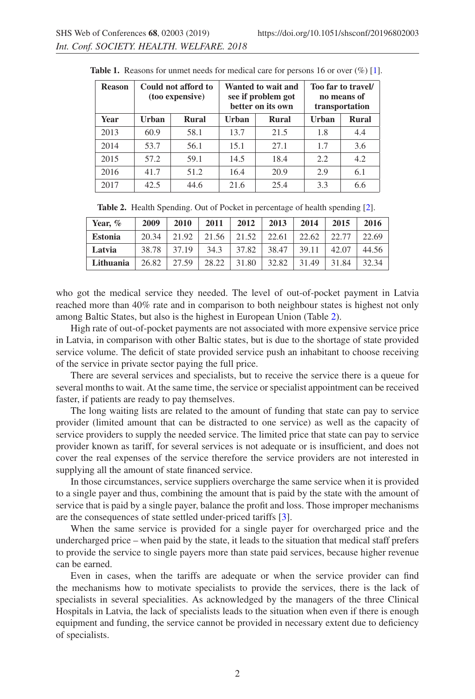| <b>Reason</b> | Could not afford to<br>(too expensive) |              |              | Wanted to wait and<br>see if problem got<br>better on its own | Too far to travel/<br>no means of<br>transportation |              |  |
|---------------|----------------------------------------|--------------|--------------|---------------------------------------------------------------|-----------------------------------------------------|--------------|--|
| Year          | Urban                                  | <b>Rural</b> | <b>Urban</b> | <b>Rural</b>                                                  | Urban                                               | <b>Rural</b> |  |
| 2013          | 60.9                                   | 58.1         | 13.7         | 21.5                                                          | 1.8                                                 | 4.4          |  |
| 2014          | 53.7                                   | 56.1         | 15.1         | 27.1                                                          | 1.7                                                 | 3.6          |  |
| 2015          | 57.2                                   | 59.1         | 14.5         | 18.4                                                          | 2.2                                                 | 4.2          |  |
| 2016          | 41.7                                   | 51.2         | 16.4         | 20.9                                                          | 2.9                                                 | 6.1          |  |
| 2017          | 42.5                                   | 44.6         | 21.6         | 25.4                                                          | 3.3                                                 | 6.6          |  |

<span id="page-1-0"></span>

|  |  | <b>Table 1.</b> Reasons for unmet needs for medical care for persons 16 or over $(\%)$ [1]. |  |  |  |  |  |  |  |  |
|--|--|---------------------------------------------------------------------------------------------|--|--|--|--|--|--|--|--|
|--|--|---------------------------------------------------------------------------------------------|--|--|--|--|--|--|--|--|

|  |  |  |  | Table 2. Health Spending. Out of Pocket in percentage of health spending [2]. |  |
|--|--|--|--|-------------------------------------------------------------------------------|--|
|--|--|--|--|-------------------------------------------------------------------------------|--|

<span id="page-1-1"></span>

| Year, $%$      | 2009  | 2010  | 2011  | 2012  | 2013  | 2014  | 2015  | 2016  |
|----------------|-------|-------|-------|-------|-------|-------|-------|-------|
| <b>Estonia</b> | 20.34 | 21.92 | 21.56 | 21.52 | 22.61 | 22.62 | 22.77 | 22.69 |
| Latvia         | 38.78 | 37.19 | 34.3  | 37.82 | 38.47 | 39.11 | 42.07 | 44.56 |
| Lithuania      | 26.82 | 27.59 | 28.22 | 31.80 | 32.82 | 31.49 | 31.84 | 32.34 |

who got the medical service they needed. The level of out-of-pocket payment in Latvia reached more than 40% rate and in comparison to both neighbour states is highest not only among Baltic States, but also is the highest in European Union (Table [2\)](#page-1-1).

High rate of out-of-pocket payments are not associated with more expensive service price in Latvia, in comparison with other Baltic states, but is due to the shortage of state provided service volume. The deficit of state provided service push an inhabitant to choose receiving of the service in private sector paying the full price.

There are several services and specialists, but to receive the service there is a queue for several months to wait. At the same time, the service or specialist appointment can be received faster, if patients are ready to pay themselves.

The long waiting lists are related to the amount of funding that state can pay to service provider (limited amount that can be distracted to one service) as well as the capacity of service providers to supply the needed service. The limited price that state can pay to service provider known as tariff, for several services is not adequate or is insufficient, and does not cover the real expenses of the service therefore the service providers are not interested in supplying all the amount of state financed service.

In those circumstances, service suppliers overcharge the same service when it is provided to a single payer and thus, combining the amount that is paid by the state with the amount of service that is paid by a single payer, balance the profit and loss. Those improper mechanisms are the consequences of state settled under-priced tariffs [\[3\]](#page-8-2).

When the same service is provided for a single payer for overcharged price and the undercharged price – when paid by the state, it leads to the situation that medical staff prefers to provide the service to single payers more than state paid services, because higher revenue can be earned.

Even in cases, when the tariffs are adequate or when the service provider can find the mechanisms how to motivate specialists to provide the services, there is the lack of specialists in several specialities. As acknowledged by the managers of the three Clinical Hospitals in Latvia, the lack of specialists leads to the situation when even if there is enough equipment and funding, the service cannot be provided in necessary extent due to deficiency of specialists.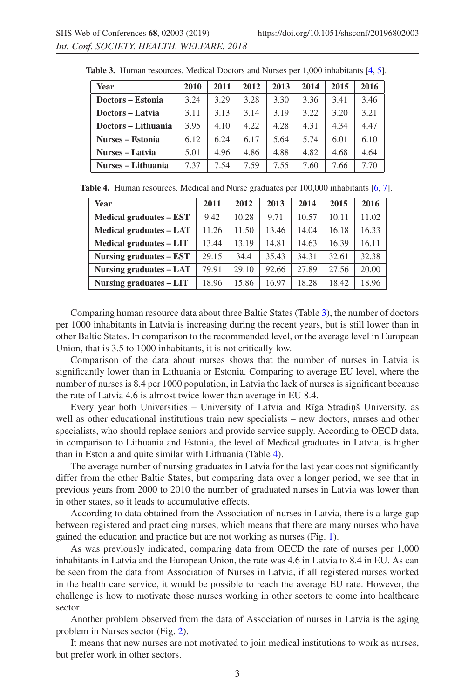| <b>Year</b>         | 2010 | 2011 | 2012 | 2013 | 2014 | 2015 | 2016 |
|---------------------|------|------|------|------|------|------|------|
| Doctors – Estonia   | 3.24 | 3.29 | 3.28 | 3.30 | 3.36 | 3.41 | 3.46 |
| Doctors – Latvia    | 3.11 | 3.13 | 3.14 | 3.19 | 3.22 | 3.20 | 3.21 |
| Doctors – Lithuania | 3.95 | 4.10 | 4.22 | 4.28 | 4.31 | 4.34 | 4.47 |
| Nurses – Estonia    | 6.12 | 6.24 | 6.17 | 5.64 | 5.74 | 6.01 | 6.10 |
| Nurses – Latvia     | 5.01 | 4.96 | 4.86 | 4.88 | 4.82 | 4.68 | 4.64 |
| Nurses – Lithuania  | 7.37 | 7.54 | 7.59 | 7.55 | 7.60 | 7.66 | 7.70 |

<span id="page-2-0"></span>**Table 3.** Human resources. Medical Doctors and Nurses per 1,000 inhabitants [\[4](#page-8-3), [5](#page-9-0)].

<span id="page-2-1"></span>**Table 4.** Human resources. Medical and Nurse graduates per 100,000 inhabitants [\[6](#page-9-1), [7](#page-9-2)].

| <b>Year</b>                    | 2011  | 2012  | 2013  | 2014  | 2015  | 2016  |
|--------------------------------|-------|-------|-------|-------|-------|-------|
| Medical graduates – EST        | 9.42  | 10.28 | 9.71  | 10.57 | 10.11 | 11.02 |
| <b>Medical graduates – LAT</b> | 11.26 | 11.50 | 13.46 | 14.04 | 16.18 | 16.33 |
| <b>Medical graduates – LIT</b> | 13.44 | 13.19 | 14.81 | 14.63 | 16.39 | 16.11 |
| Nursing graduates $-EST$       | 29.15 | 34.4  | 35.43 | 34.31 | 32.61 | 32.38 |
| Nursing graduates – LAT        | 79.91 | 29.10 | 92.66 | 27.89 | 27.56 | 20.00 |
| Nursing graduates – LIT        | 18.96 | 15.86 | 16.97 | 18.28 | 18.42 | 18.96 |

Comparing human resource data about three Baltic States (Table [3\)](#page-2-0), the number of doctors per 1000 inhabitants in Latvia is increasing during the recent years, but is still lower than in other Baltic States. In comparison to the recommended level, or the average level in European Union, that is 3.5 to 1000 inhabitants, it is not critically low.

Comparison of the data about nurses shows that the number of nurses in Latvia is significantly lower than in Lithuania or Estonia. Comparing to average EU level, where the number of nurses is 8.4 per 1000 population, in Latvia the lack of nurses is significant because the rate of Latvia 4.6 is almost twice lower than average in EU 8.4.

Every year both Universities – University of Latvia and Rīga Stradinš University, as well as other educational institutions train new specialists – new doctors, nurses and other specialists, who should replace seniors and provide service supply. According to OECD data, in comparison to Lithuania and Estonia, the level of Medical graduates in Latvia, is higher than in Estonia and quite similar with Lithuania (Table [4\)](#page-2-1).

The average number of nursing graduates in Latvia for the last year does not significantly differ from the other Baltic States, but comparing data over a longer period, we see that in previous years from 2000 to 2010 the number of graduated nurses in Latvia was lower than in other states, so it leads to accumulative effects.

According to data obtained from the Association of nurses in Latvia, there is a large gap between registered and practicing nurses, which means that there are many nurses who have gained the education and practice but are not working as nurses (Fig. [1\)](#page-3-0).

As was previously indicated, comparing data from OECD the rate of nurses per 1,000 inhabitants in Latvia and the European Union, the rate was 4.6 in Latvia to 8.4 in EU. As can be seen from the data from Association of Nurses in Latvia, if all registered nurses worked in the health care service, it would be possible to reach the average EU rate. However, the challenge is how to motivate those nurses working in other sectors to come into healthcare sector.

Another problem observed from the data of Association of nurses in Latvia is the aging problem in Nurses sector (Fig. [2\)](#page-3-1).

It means that new nurses are not motivated to join medical institutions to work as nurses, but prefer work in other sectors.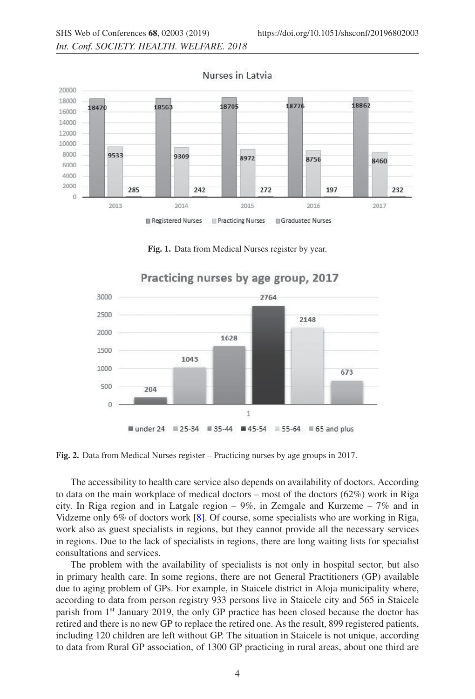<span id="page-3-0"></span>

Nurses in Latvia

**Fig. 1.** Data from Medical Nurses register by year.

<span id="page-3-1"></span>

#### Practicing nurses by age group, 2017

**Fig. 2.** Data from Medical Nurses register – Practicing nurses by age groups in 2017.

The accessibility to health care service also depends on availability of doctors. According to data on the main workplace of medical doctors – most of the doctors  $(62%)$  work in Riga city. In Riga region and in Latgale region  $-9\%$ , in Zemgale and Kurzeme  $-7\%$  and in Vidzeme only 6% of doctors work [\[8](#page-9-3)]. Of course, some specialists who are working in Riga, work also as guest specialists in regions, but they cannot provide all the necessary services in regions. Due to the lack of specialists in regions, there are long waiting lists for specialist consultations and services.

The problem with the availability of specialists is not only in hospital sector, but also in primary health care. In some regions, there are not General Practitioners (GP) available due to aging problem of GPs. For example, in Staicele district in Aloja municipality where, according to data from person registry 933 persons live in Staicele city and 565 in Staicele parish from 1st January 2019, the only GP practice has been closed because the doctor has retired and there is no new GP to replace the retired one. As the result, 899 registered patients, including 120 children are left without GP. The situation in Staicele is not unique, according to data from Rural GP association, of 1300 GP practicing in rural areas, about one third are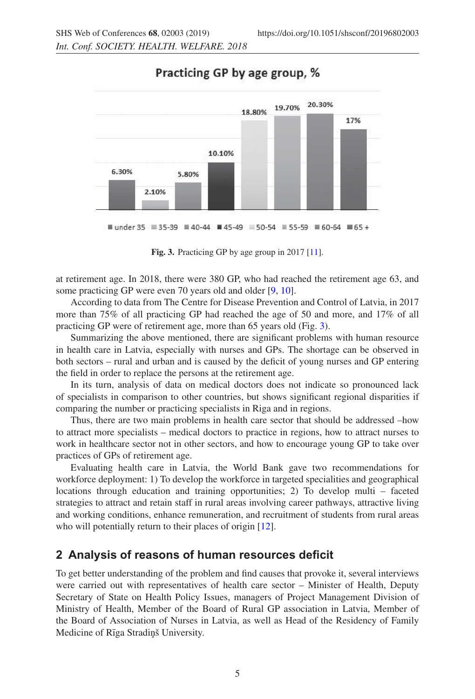<span id="page-4-0"></span>

# Practicing GP by age group, %

Fig. 3. Practicing GP by age group in 2017 [\[11](#page-9-4)].

at retirement age. In 2018, there were 380 GP, who had reached the retirement age 63, and some practicing GP were even 70 years old and older [\[9,](#page-9-5) [10\]](#page-9-6).

According to data from The Centre for Disease Prevention and Control of Latvia, in 2017 more than 75% of all practicing GP had reached the age of 50 and more, and 17% of all practicing GP were of retirement age, more than 65 years old (Fig. [3\)](#page-4-0).

Summarizing the above mentioned, there are significant problems with human resource in health care in Latvia, especially with nurses and GPs. The shortage can be observed in both sectors – rural and urban and is caused by the deficit of young nurses and GP entering the field in order to replace the persons at the retirement age.

In its turn, analysis of data on medical doctors does not indicate so pronounced lack of specialists in comparison to other countries, but shows significant regional disparities if comparing the number or practicing specialists in Riga and in regions.

Thus, there are two main problems in health care sector that should be addressed –how to attract more specialists – medical doctors to practice in regions, how to attract nurses to work in healthcare sector not in other sectors, and how to encourage young GP to take over practices of GPs of retirement age.

Evaluating health care in Latvia, the World Bank gave two recommendations for workforce deployment: 1) To develop the workforce in targeted specialities and geographical locations through education and training opportunities; 2) To develop multi – faceted strategies to attract and retain staff in rural areas involving career pathways, attractive living and working conditions, enhance remuneration, and recruitment of students from rural areas who will potentially return to their places of origin [\[12\]](#page-9-7).

## **2 Analysis of reasons of human resources deficit**

To get better understanding of the problem and find causes that provoke it, several interviews were carried out with representatives of health care sector – Minister of Health, Deputy Secretary of State on Health Policy Issues, managers of Project Management Division of Ministry of Health, Member of the Board of Rural GP association in Latvia, Member of the Board of Association of Nurses in Latvia, as well as Head of the Residency of Family Medicine of Rīga Stradiņš University.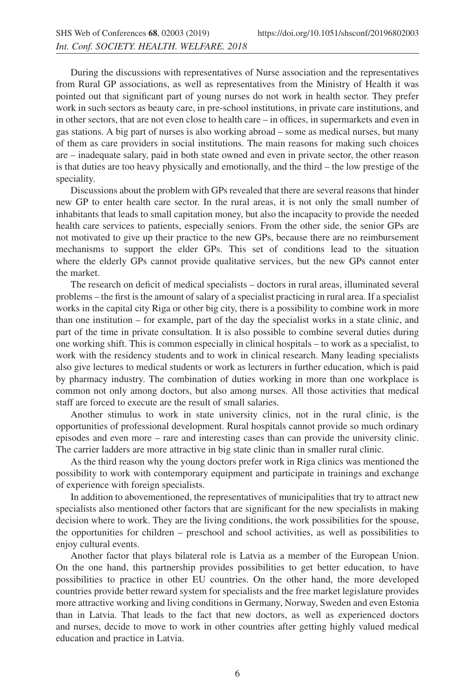During the discussions with representatives of Nurse association and the representatives from Rural GP associations, as well as representatives from the Ministry of Health it was pointed out that significant part of young nurses do not work in health sector. They prefer work in such sectors as beauty care, in pre-school institutions, in private care institutions, and in other sectors, that are not even close to health care – in offices, in supermarkets and even in gas stations. A big part of nurses is also working abroad – some as medical nurses, but many of them as care providers in social institutions. The main reasons for making such choices are – inadequate salary, paid in both state owned and even in private sector, the other reason is that duties are too heavy physically and emotionally, and the third – the low prestige of the speciality.

Discussions about the problem with GPs revealed that there are several reasons that hinder new GP to enter health care sector. In the rural areas, it is not only the small number of inhabitants that leads to small capitation money, but also the incapacity to provide the needed health care services to patients, especially seniors. From the other side, the senior GPs are not motivated to give up their practice to the new GPs, because there are no reimbursement mechanisms to support the elder GPs. This set of conditions lead to the situation where the elderly GPs cannot provide qualitative services, but the new GPs cannot enter the market.

The research on deficit of medical specialists – doctors in rural areas, illuminated several problems – the first is the amount of salary of a specialist practicing in rural area. If a specialist works in the capital city Riga or other big city, there is a possibility to combine work in more than one institution – for example, part of the day the specialist works in a state clinic, and part of the time in private consultation. It is also possible to combine several duties during one working shift. This is common especially in clinical hospitals – to work as a specialist, to work with the residency students and to work in clinical research. Many leading specialists also give lectures to medical students or work as lecturers in further education, which is paid by pharmacy industry. The combination of duties working in more than one workplace is common not only among doctors, but also among nurses. All those activities that medical staff are forced to execute are the result of small salaries.

Another stimulus to work in state university clinics, not in the rural clinic, is the opportunities of professional development. Rural hospitals cannot provide so much ordinary episodes and even more – rare and interesting cases than can provide the university clinic. The carrier ladders are more attractive in big state clinic than in smaller rural clinic.

As the third reason why the young doctors prefer work in Riga clinics was mentioned the possibility to work with contemporary equipment and participate in trainings and exchange of experience with foreign specialists.

In addition to abovementioned, the representatives of municipalities that try to attract new specialists also mentioned other factors that are significant for the new specialists in making decision where to work. They are the living conditions, the work possibilities for the spouse, the opportunities for children – preschool and school activities, as well as possibilities to enjoy cultural events.

Another factor that plays bilateral role is Latvia as a member of the European Union. On the one hand, this partnership provides possibilities to get better education, to have possibilities to practice in other EU countries. On the other hand, the more developed countries provide better reward system for specialists and the free market legislature provides more attractive working and living conditions in Germany, Norway, Sweden and even Estonia than in Latvia. That leads to the fact that new doctors, as well as experienced doctors and nurses, decide to move to work in other countries after getting highly valued medical education and practice in Latvia.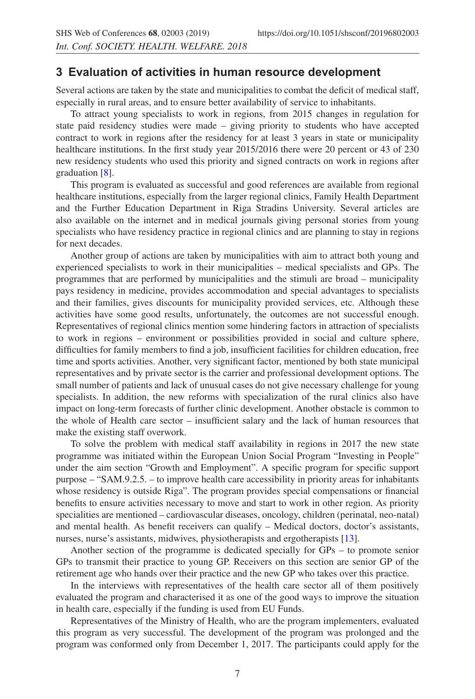#### **3 Evaluation of activities in human resource development**

Several actions are taken by the state and municipalities to combat the deficit of medical staff, especially in rural areas, and to ensure better availability of service to inhabitants.

To attract young specialists to work in regions, from 2015 changes in regulation for state paid residency studies were made – giving priority to students who have accepted contract to work in regions after the residency for at least 3 years in state or municipality healthcare institutions. In the first study year 2015/2016 there were 20 percent or 43 of 230 new residency students who used this priority and signed contracts on work in regions after graduation [\[8](#page-9-3)].

This program is evaluated as successful and good references are available from regional healthcare institutions, especially from the larger regional clinics, Family Health Department and the Further Education Department in Riga Stradins University. Several articles are also available on the internet and in medical journals giving personal stories from young specialists who have residency practice in regional clinics and are planning to stay in regions for next decades.

Another group of actions are taken by municipalities with aim to attract both young and experienced specialists to work in their municipalities – medical specialists and GPs. The programmes that are performed by municipalities and the stimuli are broad – municipality pays residency in medicine, provides accommodation and special advantages to specialists and their families, gives discounts for municipality provided services, etc. Although these activities have some good results, unfortunately, the outcomes are not successful enough. Representatives of regional clinics mention some hindering factors in attraction of specialists to work in regions – environment or possibilities provided in social and culture sphere, difficulties for family members to find a job, insufficient facilities for children education, free time and sports activities. Another, very significant factor, mentioned by both state municipal representatives and by private sector is the carrier and professional development options. The small number of patients and lack of unusual cases do not give necessary challenge for young specialists. In addition, the new reforms with specialization of the rural clinics also have impact on long-term forecasts of further clinic development. Another obstacle is common to the whole of Health care sector – insufficient salary and the lack of human resources that make the existing staff overwork.

To solve the problem with medical staff availability in regions in 2017 the new state programme was initiated within the European Union Social Program "Investing in People" under the aim section "Growth and Employment". A specific program for specific support purpose – "SAM.9.2.5. – to improve health care accessibility in priority areas for inhabitants whose residency is outside Riga". The program provides special compensations or financial benefits to ensure activities necessary to move and start to work in other region. As priority specialities are mentioned – cardiovascular diseases, oncology, children (perinatal, neo-natal) and mental health. As benefit receivers can qualify – Medical doctors, doctor's assistants, nurses, nurse's assistants, midwives, physiotherapists and ergotherapists [\[13](#page-9-8)].

Another section of the programme is dedicated specially for GPs – to promote senior GPs to transmit their practice to young GP. Receivers on this section are senior GP of the retirement age who hands over their practice and the new GP who takes over this practice.

In the interviews with representatives of the health care sector all of them positively evaluated the program and characterised it as one of the good ways to improve the situation in health care, especially if the funding is used from EU Funds.

Representatives of the Ministry of Health, who are the program implementers, evaluated this program as very successful. The development of the program was prolonged and the program was conformed only from December 1, 2017. The participants could apply for the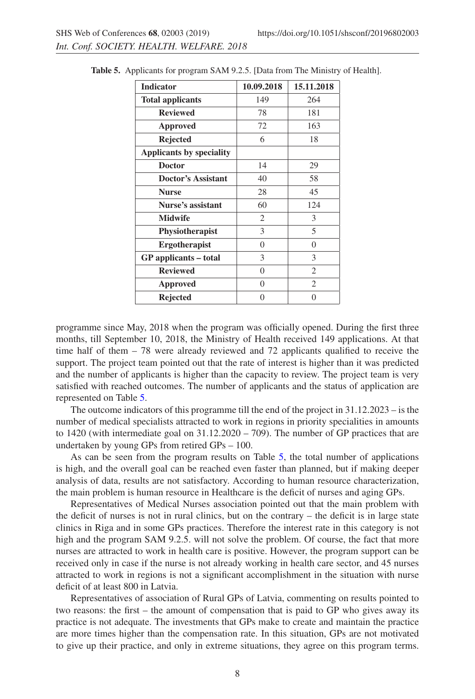| <b>Indicator</b>                | 10.09.2018     | 15.11.2018 |
|---------------------------------|----------------|------------|
| <b>Total applicants</b>         | 149            | 264        |
| <b>Reviewed</b>                 | 78             | 181        |
| Approved                        | 72             | 163        |
| Rejected                        | 6              | 18         |
| <b>Applicants by speciality</b> |                |            |
| <b>Doctor</b>                   | 14             | 29         |
| <b>Doctor's Assistant</b>       | 40             | 58         |
| <b>Nurse</b>                    | 28             | 45         |
| Nurse's assistant               | 60             | 124        |
| <b>Midwife</b>                  | 2              | 3          |
| Physiotherapist                 | 3              | 5          |
| Ergotherapist                   | $\theta$       | $\Omega$   |
| <b>GP</b> applicants – total    | 3              | 3          |
| <b>Reviewed</b>                 | $\Omega$       | 2          |
| <b>Approved</b>                 | $\theta$       | 2          |
| Rejected                        | $\overline{0}$ | $\Omega$   |

<span id="page-7-0"></span>**Table 5.** Applicants for program SAM 9.2.5. [Data from The Ministry of Health].

programme since May, 2018 when the program was officially opened. During the first three months, till September 10, 2018, the Ministry of Health received 149 applications. At that time half of them – 78 were already reviewed and 72 applicants qualified to receive the support. The project team pointed out that the rate of interest is higher than it was predicted and the number of applicants is higher than the capacity to review. The project team is very satisfied with reached outcomes. The number of applicants and the status of application are represented on Table [5.](#page-7-0)

The outcome indicators of this programme till the end of the project in 31.12.2023 – is the number of medical specialists attracted to work in regions in priority specialities in amounts to 1420 (with intermediate goal on 31.12.2020 – 709). The number of GP practices that are undertaken by young GPs from retired GPs – 100.

As can be seen from the program results on Table [5,](#page-7-0) the total number of applications is high, and the overall goal can be reached even faster than planned, but if making deeper analysis of data, results are not satisfactory. According to human resource characterization, the main problem is human resource in Healthcare is the deficit of nurses and aging GPs.

Representatives of Medical Nurses association pointed out that the main problem with the deficit of nurses is not in rural clinics, but on the contrary – the deficit is in large state clinics in Riga and in some GPs practices. Therefore the interest rate in this category is not high and the program SAM 9.2.5. will not solve the problem. Of course, the fact that more nurses are attracted to work in health care is positive. However, the program support can be received only in case if the nurse is not already working in health care sector, and 45 nurses attracted to work in regions is not a significant accomplishment in the situation with nurse deficit of at least 800 in Latvia.

Representatives of association of Rural GPs of Latvia, commenting on results pointed to two reasons: the first – the amount of compensation that is paid to GP who gives away its practice is not adequate. The investments that GPs make to create and maintain the practice are more times higher than the compensation rate. In this situation, GPs are not motivated to give up their practice, and only in extreme situations, they agree on this program terms.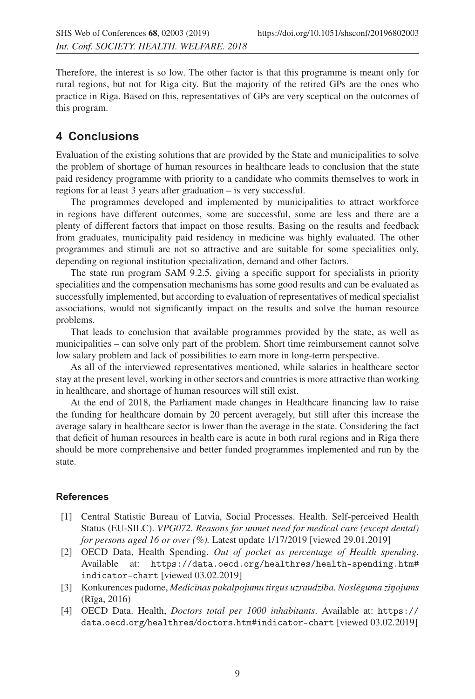Therefore, the interest is so low. The other factor is that this programme is meant only for rural regions, but not for Riga city. But the majority of the retired GPs are the ones who practice in Riga. Based on this, representatives of GPs are very sceptical on the outcomes of this program.

## **4 Conclusions**

Evaluation of the existing solutions that are provided by the State and municipalities to solve the problem of shortage of human resources in healthcare leads to conclusion that the state paid residency programme with priority to a candidate who commits themselves to work in regions for at least 3 years after graduation – is very successful.

The programmes developed and implemented by municipalities to attract workforce in regions have different outcomes, some are successful, some are less and there are a plenty of different factors that impact on those results. Basing on the results and feedback from graduates, municipality paid residency in medicine was highly evaluated. The other programmes and stimuli are not so attractive and are suitable for some specialities only, depending on regional institution specialization, demand and other factors.

The state run program SAM 9.2.5. giving a specific support for specialists in priority specialities and the compensation mechanisms has some good results and can be evaluated as successfully implemented, but according to evaluation of representatives of medical specialist associations, would not significantly impact on the results and solve the human resource problems.

That leads to conclusion that available programmes provided by the state, as well as municipalities – can solve only part of the problem. Short time reimbursement cannot solve low salary problem and lack of possibilities to earn more in long-term perspective.

As all of the interviewed representatives mentioned, while salaries in healthcare sector stay at the present level, working in other sectors and countries is more attractive than working in healthcare, and shortage of human resources will still exist.

At the end of 2018, the Parliament made changes in Healthcare financing law to raise the funding for healthcare domain by 20 percent averagely, but still after this increase the average salary in healthcare sector is lower than the average in the state. Considering the fact that deficit of human resources in health care is acute in both rural regions and in Riga there should be more comprehensive and better funded programmes implemented and run by the state.

#### <span id="page-8-0"></span>**References**

- [1] Central Statistic Bureau of Latvia, Social Processes. Health. Self-perceived Health Status (EU-SILC). *VPG072. Reasons for unmet need for medical care (except dental) for persons aged 16 or over (%).* Latest update 1/17/2019 [viewed 29.01.2019]
- <span id="page-8-1"></span>[2] OECD Data, Health Spending. *Out of pocket as percentage of Health spending*. Available at: https://data.oecd.org/healthres/health-spending.htm# indicator-chart [viewed 03.02.2019]
- <span id="page-8-2"></span>[3] Konkurences padome, *Medic¯ınas pakalpojumu tirgus uzraudz¯ıba. Nosleguma zin ¯ ¸ojums* (Rīga, 2016)
- <span id="page-8-3"></span>[4] OECD Data. Health, *Doctors total per 1000 inhabitants*. Available at: https:// data.oecd.org/healthres/doctors.htm#indicator-chart [viewed 03.02.2019]